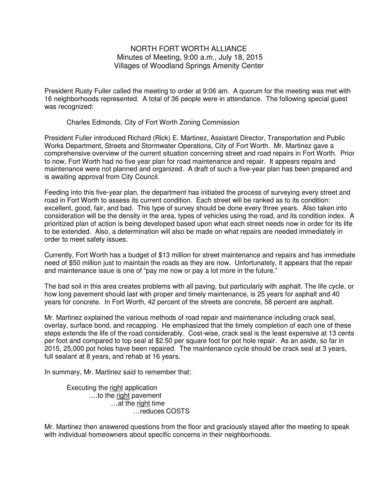## NORTH FORT WORTH ALLIANCE Minutes of Meeting, 9:00 a.m., July 18, 2015 Villages of Woodland Springs Amenity Center

President Rusty Fuller called the meeting to order at 9:06 am. A quorum for the meeting was met with 16 neighborhoods represented. A total of 36 people were in attendance. The following special guest was recognized:

Charles Edmonds, City of Fort Worth Zoning Commission

President Fuller introduced Richard (Rick) E. Martinez, Assistant Director, Transportation and Public Works Department, Streets and Stormwater Operations, City of Fort Worth. Mr. Martinez gave a comprehensive overview of the current situation concerning street and road repairs in Fort Worth. Prior to now, Fort Worth had no five year plan for road maintenance and repair. It appears repairs and maintenance were not planned and organized. A draft of such a five-year plan has been prepared and is awaiting approval from City Council.

Feeding into this five-year plan, the department has initiated the process of surveying every street and road in Fort Worth to assess its current condition. Each street will be ranked as to its condition: excellent, good, fair, and bad. This type of survey should be done every three years. Also taken into consideration will be the density in the area, types of vehicles using the road, and its condition index. A prioritized plan of action is being developed based upon what each street needs now in order for its life to be extended. Also, a determination will also be made on what repairs are needed immediately in order to meet safety issues.

Currently, Fort Worth has a budget of \$13 million for street maintenance and repairs and has immediate need of \$50 million just to maintain the roads as they are now. Unfortunately, it appears that the repair and maintenance issue is one of "pay me now or pay a lot more in the future."

The bad soil in this area creates problems with all paving, but particularly with asphalt. The life cycle, or how long pavement should last with proper and timely maintenance, is 25 years for asphalt and 40 years for concrete. In Fort Worth, 42 percent of the streets are concrete, 58 percent are asphalt.

Mr. Martinez explained the various methods of road repair and maintenance including crack seal, overlay, surface bond, and recapping. He emphasized that the timely completion of each one of these steps extends the life of the road considerably. Cost-wise, crack seal is the least expensive at 13 cents per foot and compared to top seal at \$2.50 per square foot for pot hole repair. As an aside, so far in 2015, 25,000 pot holes have been repaired. The maintenance cycle should be crack seal at 3 years, full sealant at 8 years, and rehab at 16 years.

In summary, Mr. Martinez said to remember that:

 Executing the right application ….to the right pavement ...at the right time …reduces COSTS

Mr. Martinez then answered questions from the floor and graciously stayed after the meeting to speak with individual homeowners about specific concerns in their neighborhoods.